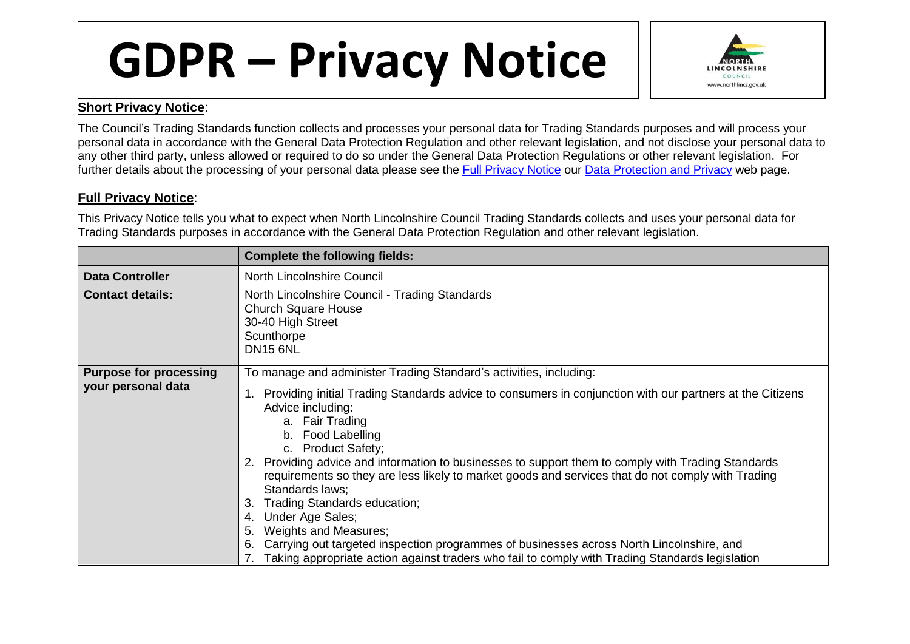## **GDPR – Privacy Notice**



## **Short Privacy Notice**:

The Council's Trading Standards function collects and processes your personal data for Trading Standards purposes and will process your personal data in accordance with the General Data Protection Regulation and other relevant legislation, and not disclose your personal data to any other third party, unless allowed or required to do so under the General Data Protection Regulations or other relevant legislation. For further details about the processing of your personal data please see the [Full Privacy Notice](http://www.northlincs.gov.uk/site/privacy/) our [Data Protection and Privacy](http://www.northlincs.gov.uk/your-council/information-and-performance/information-governance/dataprotection/) web page.

## **Full Privacy Notice**:

This Privacy Notice tells you what to expect when North Lincolnshire Council Trading Standards collects and uses your personal data for Trading Standards purposes in accordance with the General Data Protection Regulation and other relevant legislation.

|                                                     | <b>Complete the following fields:</b>                                                                                                                                                                                                                                                                                                                                                                                                                                                                                                                                                                                                                                                                                                                                                               |
|-----------------------------------------------------|-----------------------------------------------------------------------------------------------------------------------------------------------------------------------------------------------------------------------------------------------------------------------------------------------------------------------------------------------------------------------------------------------------------------------------------------------------------------------------------------------------------------------------------------------------------------------------------------------------------------------------------------------------------------------------------------------------------------------------------------------------------------------------------------------------|
| <b>Data Controller</b>                              | North Lincolnshire Council                                                                                                                                                                                                                                                                                                                                                                                                                                                                                                                                                                                                                                                                                                                                                                          |
| <b>Contact details:</b>                             | North Lincolnshire Council - Trading Standards<br><b>Church Square House</b><br>30-40 High Street<br>Scunthorpe<br><b>DN15 6NL</b>                                                                                                                                                                                                                                                                                                                                                                                                                                                                                                                                                                                                                                                                  |
| <b>Purpose for processing</b><br>your personal data | To manage and administer Trading Standard's activities, including:<br>Providing initial Trading Standards advice to consumers in conjunction with our partners at the Citizens<br>Advice including:<br>a. Fair Trading<br>b. Food Labelling<br>c. Product Safety;<br>2. Providing advice and information to businesses to support them to comply with Trading Standards<br>requirements so they are less likely to market goods and services that do not comply with Trading<br>Standards laws;<br>Trading Standards education;<br>З.<br>Under Age Sales;<br>4.<br>Weights and Measures;<br>5.<br>Carrying out targeted inspection programmes of businesses across North Lincolnshire, and<br>6.<br>Taking appropriate action against traders who fail to comply with Trading Standards legislation |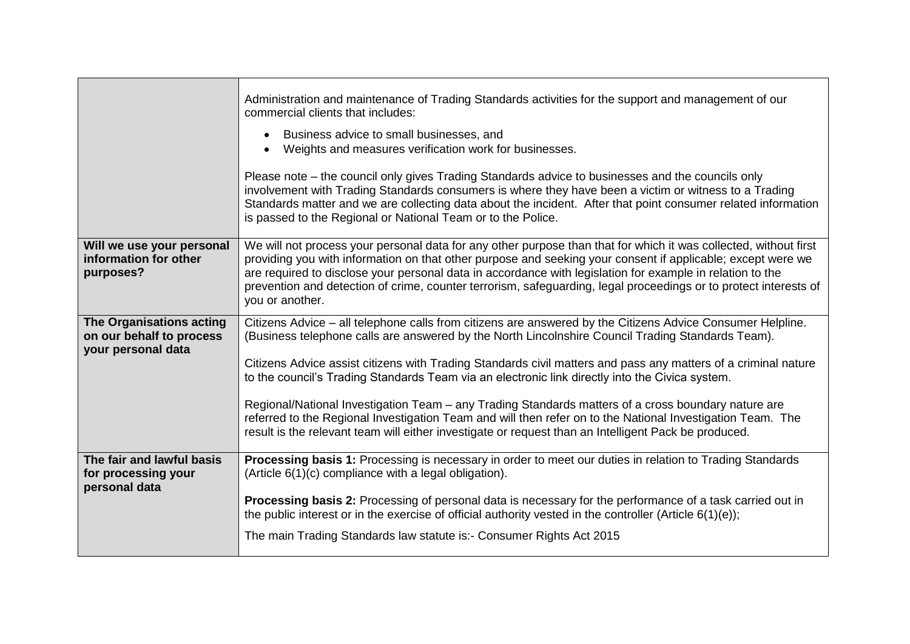|                                                                            | Administration and maintenance of Trading Standards activities for the support and management of our<br>commercial clients that includes:                                                                                                                                                                                                                                                                                                                                           |
|----------------------------------------------------------------------------|-------------------------------------------------------------------------------------------------------------------------------------------------------------------------------------------------------------------------------------------------------------------------------------------------------------------------------------------------------------------------------------------------------------------------------------------------------------------------------------|
|                                                                            | Business advice to small businesses, and<br>Weights and measures verification work for businesses.                                                                                                                                                                                                                                                                                                                                                                                  |
|                                                                            | Please note – the council only gives Trading Standards advice to businesses and the councils only<br>involvement with Trading Standards consumers is where they have been a victim or witness to a Trading<br>Standards matter and we are collecting data about the incident. After that point consumer related information<br>is passed to the Regional or National Team or to the Police.                                                                                         |
| Will we use your personal<br>information for other<br>purposes?            | We will not process your personal data for any other purpose than that for which it was collected, without first<br>providing you with information on that other purpose and seeking your consent if applicable; except were we<br>are required to disclose your personal data in accordance with legislation for example in relation to the<br>prevention and detection of crime, counter terrorism, safeguarding, legal proceedings or to protect interests of<br>you or another. |
| The Organisations acting<br>on our behalf to process<br>your personal data | Citizens Advice – all telephone calls from citizens are answered by the Citizens Advice Consumer Helpline.<br>(Business telephone calls are answered by the North Lincolnshire Council Trading Standards Team).                                                                                                                                                                                                                                                                     |
|                                                                            | Citizens Advice assist citizens with Trading Standards civil matters and pass any matters of a criminal nature<br>to the council's Trading Standards Team via an electronic link directly into the Civica system.                                                                                                                                                                                                                                                                   |
|                                                                            | Regional/National Investigation Team – any Trading Standards matters of a cross boundary nature are<br>referred to the Regional Investigation Team and will then refer on to the National Investigation Team. The<br>result is the relevant team will either investigate or request than an Intelligent Pack be produced.                                                                                                                                                           |
| The fair and lawful basis<br>for processing your<br>personal data          | Processing basis 1: Processing is necessary in order to meet our duties in relation to Trading Standards<br>(Article 6(1)(c) compliance with a legal obligation).                                                                                                                                                                                                                                                                                                                   |
|                                                                            | Processing basis 2: Processing of personal data is necessary for the performance of a task carried out in<br>the public interest or in the exercise of official authority vested in the controller (Article $6(1)(e)$ );                                                                                                                                                                                                                                                            |
|                                                                            | The main Trading Standards law statute is: - Consumer Rights Act 2015                                                                                                                                                                                                                                                                                                                                                                                                               |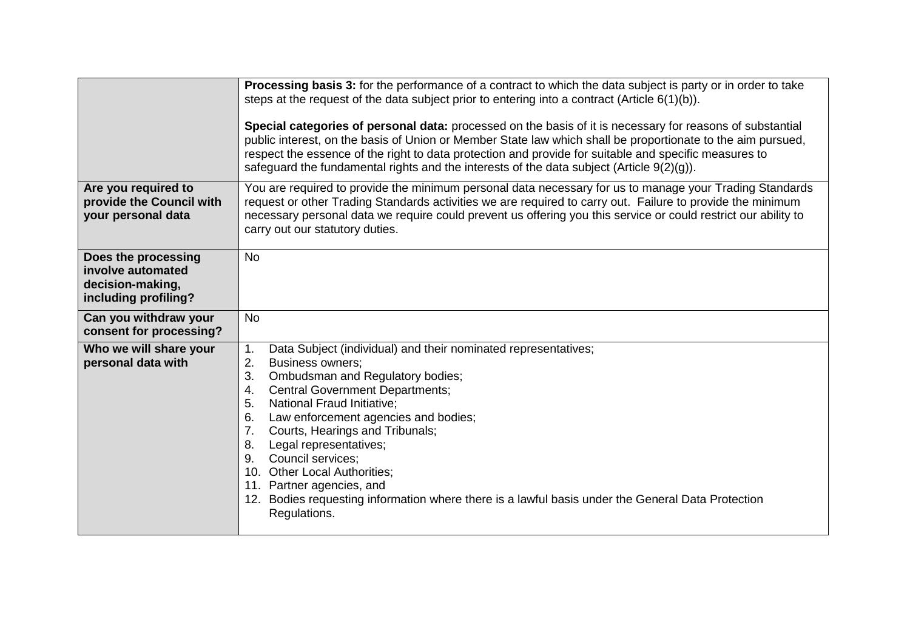|                                                                                      | Processing basis 3: for the performance of a contract to which the data subject is party or in order to take<br>steps at the request of the data subject prior to entering into a contract (Article $6(1)(b)$ ).<br>Special categories of personal data: processed on the basis of it is necessary for reasons of substantial<br>public interest, on the basis of Union or Member State law which shall be proportionate to the aim pursued,<br>respect the essence of the right to data protection and provide for suitable and specific measures to<br>safeguard the fundamental rights and the interests of the data subject (Article $9(2)(q)$ ). |
|--------------------------------------------------------------------------------------|-------------------------------------------------------------------------------------------------------------------------------------------------------------------------------------------------------------------------------------------------------------------------------------------------------------------------------------------------------------------------------------------------------------------------------------------------------------------------------------------------------------------------------------------------------------------------------------------------------------------------------------------------------|
| Are you required to<br>provide the Council with<br>your personal data                | You are required to provide the minimum personal data necessary for us to manage your Trading Standards<br>request or other Trading Standards activities we are required to carry out. Failure to provide the minimum<br>necessary personal data we require could prevent us offering you this service or could restrict our ability to<br>carry out our statutory duties.                                                                                                                                                                                                                                                                            |
| Does the processing<br>involve automated<br>decision-making,<br>including profiling? | <b>No</b>                                                                                                                                                                                                                                                                                                                                                                                                                                                                                                                                                                                                                                             |
| Can you withdraw your<br>consent for processing?                                     | <b>No</b>                                                                                                                                                                                                                                                                                                                                                                                                                                                                                                                                                                                                                                             |
| Who we will share your<br>personal data with                                         | Data Subject (individual) and their nominated representatives;<br>1 <sub>1</sub><br>2.<br><b>Business owners;</b><br>Ombudsman and Regulatory bodies;<br>3.<br><b>Central Government Departments;</b><br>4.<br><b>National Fraud Initiative:</b><br>5.<br>6.<br>Law enforcement agencies and bodies;<br>Courts, Hearings and Tribunals;<br>7.<br>Legal representatives;<br>8.<br>9.<br>Council services;<br>10. Other Local Authorities;<br>11. Partner agencies, and<br>12. Bodies requesting information where there is a lawful basis under the General Data Protection<br>Regulations.                                                            |